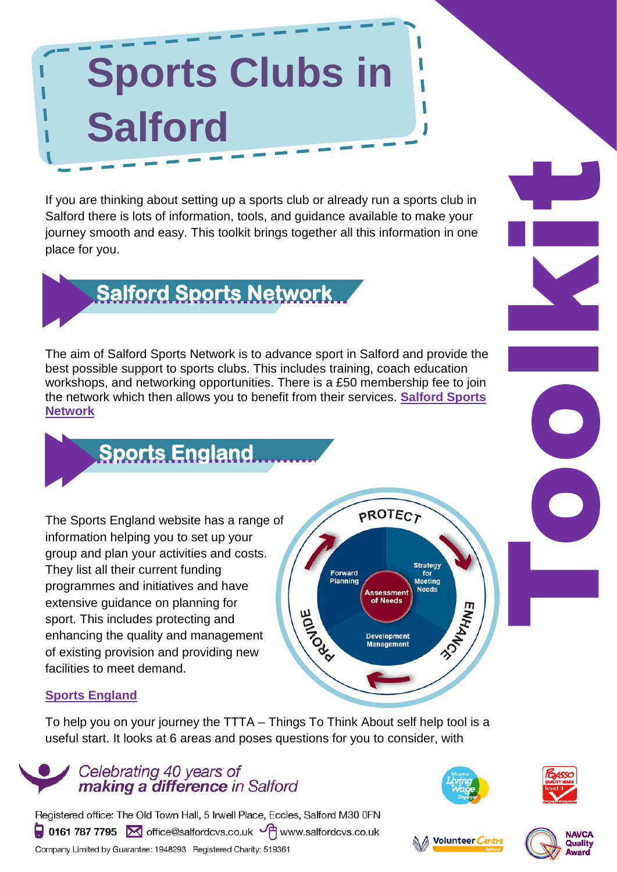# **Sports Clubs in Salford**

If you are thinking about setting up a sports club or already run a sports club in Salford there is lots of information, tools, and guidance available to make your journey smooth and easy. This toolkit brings together all this information in one place for you.



The aim of Salford Sports Network is to advance sport in Salford and provide the best possible support to sports clubs. This includes training, coach education workshops, and networking opportunities. There is a £50 membership fee to join the network which then allows you to benefit from their services. **[Salford Sports](http://www.salfordsportsnetwork.co.uk/sports-clubs/cat=11/)  [Network](http://www.salfordsportsnetwork.co.uk/sports-clubs/cat=11/)**



The Sports England website has a range of information helping you to set up your group and plan your activities and costs. They list all their current funding programmes and initiatives and have extensive guidance on planning for sport. This includes protecting and enhancing the quality and management of existing provision and providing new facilities to meet demand.



#### **[Sports England](http://www.sportengland.org/)**

To help you on your journey the TTTA – Things To Think About self help tool is a useful start. It looks at 6 areas and poses questions for you to consider, with









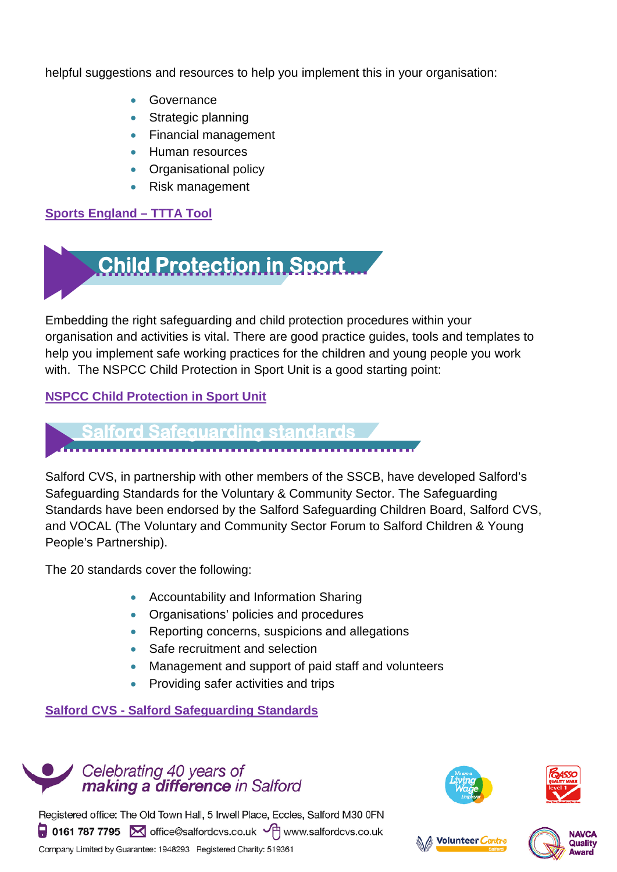helpful suggestions and resources to help you implement this in your organisation:

- Governance
- Strategic planning
- Financial management
- Human resources
- Organisational policy
- Risk management

#### **[Sports England –](http://www.sportengland.org/our-work/governance/things-to-think-about-tool/) TTTA Tool**



Embedding the right safeguarding and child protection procedures within your organisation and activities is vital. There are good practice guides, tools and templates to help you implement safe working practices for the children and young people you work with. The NSPCC Child Protection in Sport Unit is a good starting point:

#### **[NSPCC Child Protection in Sport Unit](https://thecpsu.org.uk/)**

# **Salford Safeguarding standards**

Salford CVS, in partnership with other members of the SSCB, have developed Salford's Safeguarding Standards for the Voluntary & Community Sector. The Safeguarding Standards have been endorsed by the Salford Safeguarding Children Board, Salford CVS, and VOCAL (The Voluntary and Community Sector Forum to Salford Children & Young People's Partnership).

The 20 standards cover the following:

- Accountability and Information Sharing
- Organisations' policies and procedures
- Reporting concerns, suspicions and allegations
- Safe recruitment and selection
- Management and support of paid staff and volunteers
- Providing safer activities and trips

**Salford CVS - [Salford Safeguarding Standards](http://www.salfordcvs.co.uk/salford-cvs/children-and-young-people)**









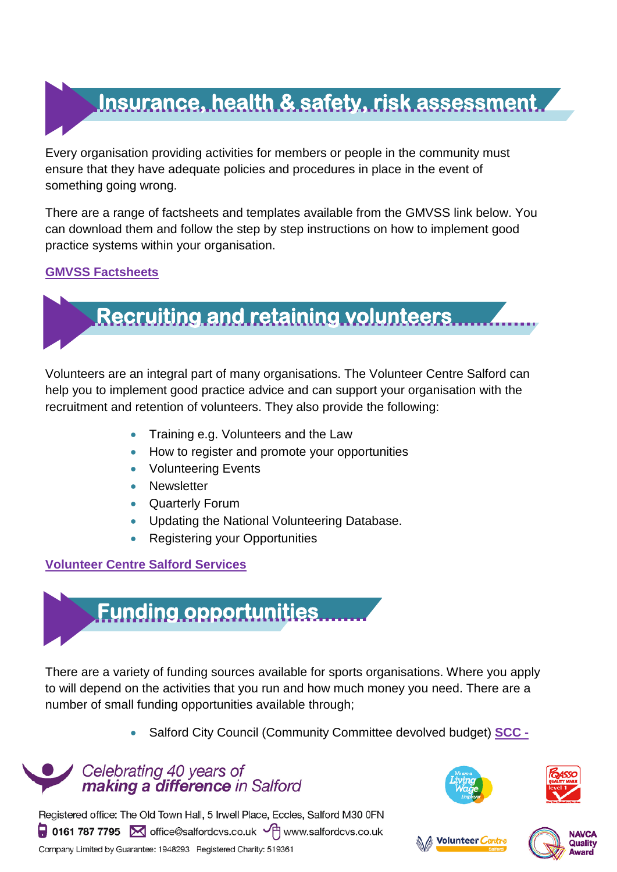## **Insurance, health & safety, risk assessment**

Every organisation providing activities for members or people in the community must ensure that they have adequate policies and procedures in place in the event of something going wrong.

There are a range of factsheets and templates available from the GMVSS link below. You can download them and follow the step by step instructions on how to implement good practice systems within your organisation.

#### **[GMVSS Factsheets](http://www.gmvss.net/factsheets)**



Volunteers are an integral part of many organisations. The Volunteer Centre Salford can help you to implement good practice advice and can support your organisation with the recruitment and retention of volunteers. They also provide the following:

- Training e.g. Volunteers and the Law
- How to register and promote your opportunities
- Volunteering Events
- **Newsletter**
- Quarterly Forum
- Updating the National Volunteering Database.
- Registering your Opportunities

#### **[Volunteer Centre Salford Services](http://www.salfordcvs.co.uk/volunteer-centre/volunteer-centre-services)**



There are a variety of funding sources available for sports organisations. Where you apply to will depend on the activities that you run and how much money you need. There are a number of small funding opportunities available through;

• Salford City Council (Community Committee devolved budget) **[SCC -](http://www.salford.gov.uk/devolvedbudgets.htm)**

#### Celebrating 40 years of making a difference in Salford







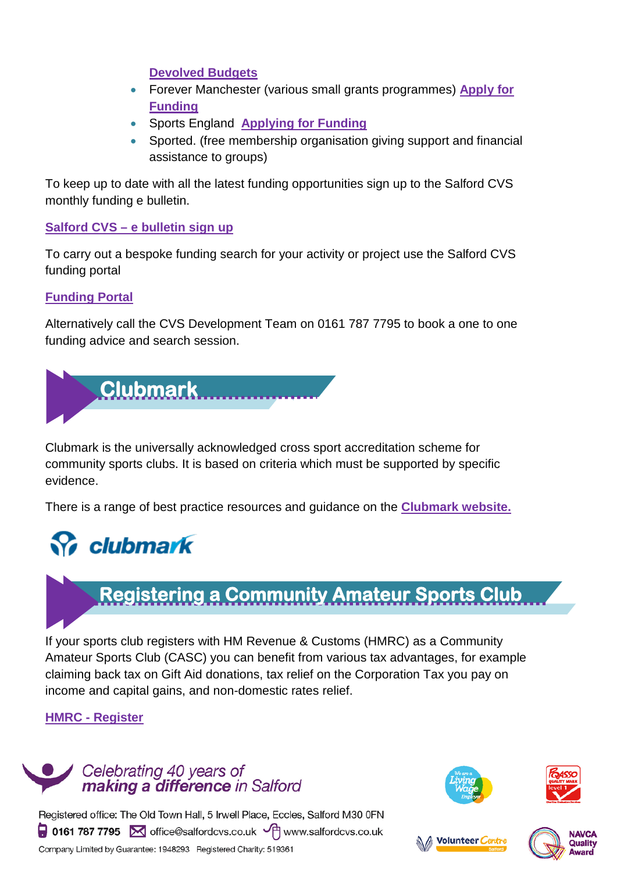#### **Devolved Budgets**

- Forever Manchester (various small grants programmes) **[Apply for](http://forevermanchester.com/apply-for-funding/)  [Funding](http://forevermanchester.com/apply-for-funding/)**
- Sports England **[Applying for Funding](http://www.sportengland.org/funding/applying-for-funding/)**
- Sported. (free membership organisation giving support and financial assistance to groups)

To keep up to date with all the latest funding opportunities sign up to the Salford CVS monthly funding e bulletin.

#### **Salford CVS – [e bulletin sign up](http://www.salfordcvs.co.uk/civicrm/mailing/subscribe?reset=1)**

To carry out a bespoke funding search for your activity or project use the Salford CVS funding portal

#### **[Funding Portal](http://www.salfordcvs.co.uk/funding-tendering/search-funding)**

Alternatively call the CVS Development Team on 0161 787 7795 to book a one to one funding advice and search session.



Clubmark is the universally acknowledged cross sport accreditation scheme for community sports clubs. It is based on criteria which must be supported by specific evidence.

There is a range of best practice resources and guidance on the **[Clubmark website.](http://www.clubmark.org.uk/)**

### **S** clubmark

### **Registering a Community Amateur Sports Club**

If your sports club registers with HM Revenue & Customs (HMRC) as a Community Amateur Sports Club (CASC) you can benefit from various tax advantages, for example claiming back tax on Gift Aid donations, tax relief on the Corporation Tax you pay on income and capital gains, and non-domestic rates relief.

#### **HMRC - [Register](http://www.hmrc.gov.uk/charities/casc/register.htm)**

#### Celebrating 40 years of making a difference in Salford